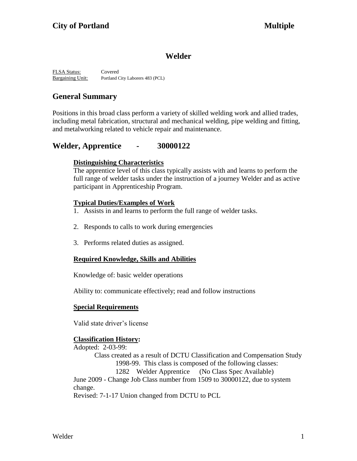## **Welder**

FLSA Status: Covered Bargaining Unit: Portland City Laborers 483 (PCL)

# **General Summary**

Positions in this broad class perform a variety of skilled welding work and allied trades, including metal fabrication, structural and mechanical welding, pipe welding and fitting, and metalworking related to vehicle repair and maintenance.

## **Welder, Apprentice - 30000122**

#### **Distinguishing Characteristics**

The apprentice level of this class typically assists with and learns to perform the full range of welder tasks under the instruction of a journey Welder and as active participant in Apprenticeship Program.

### **Typical Duties/Examples of Work**

- 1. Assists in and learns to perform the full range of welder tasks.
- 2. Responds to calls to work during emergencies
- 3. Performs related duties as assigned.

## **Required Knowledge, Skills and Abilities**

Knowledge of: basic welder operations

Ability to: communicate effectively; read and follow instructions

#### **Special Requirements**

Valid state driver's license

## **Classification History:**

Adopted: 2-03-99: Class created as a result of DCTU Classification and Compensation Study 1998-99. This class is composed of the following classes: 1282 Welder Apprentice (No Class Spec Available) June 2009 - Change Job Class number from 1509 to 30000122, due to system change. Revised: 7-1-17 Union changed from DCTU to PCL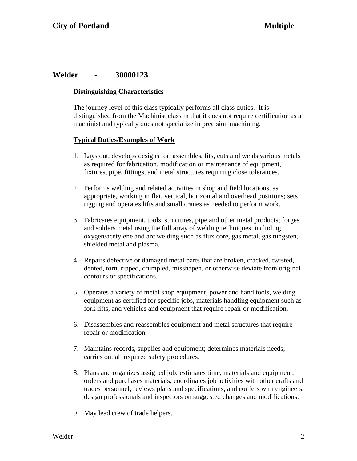## **Welder - 30000123**

#### **Distinguishing Characteristics**

The journey level of this class typically performs all class duties. It is distinguished from the Machinist class in that it does not require certification as a machinist and typically does not specialize in precision machining.

#### **Typical Duties/Examples of Work**

- 1. Lays out, develops designs for, assembles, fits, cuts and welds various metals as required for fabrication, modification or maintenance of equipment, fixtures, pipe, fittings, and metal structures requiring close tolerances.
- 2. Performs welding and related activities in shop and field locations, as appropriate, working in flat, vertical, horizontal and overhead positions; sets rigging and operates lifts and small cranes as needed to perform work.
- 3. Fabricates equipment, tools, structures, pipe and other metal products; forges and solders metal using the full array of welding techniques, including oxygen/acetylene and arc welding such as flux core, gas metal, gas tungsten, shielded metal and plasma.
- 4. Repairs defective or damaged metal parts that are broken, cracked, twisted, dented, torn, ripped, crumpled, misshapen, or otherwise deviate from original contours or specifications.
- 5. Operates a variety of metal shop equipment, power and hand tools, welding equipment as certified for specific jobs, materials handling equipment such as fork lifts, and vehicles and equipment that require repair or modification.
- 6. Disassembles and reassembles equipment and metal structures that require repair or modification.
- 7. Maintains records, supplies and equipment; determines materials needs; carries out all required safety procedures.
- 8. Plans and organizes assigned job; estimates time, materials and equipment; orders and purchases materials; coordinates job activities with other crafts and trades personnel; reviews plans and specifications, and confers with engineers, design professionals and inspectors on suggested changes and modifications.
- 9. May lead crew of trade helpers.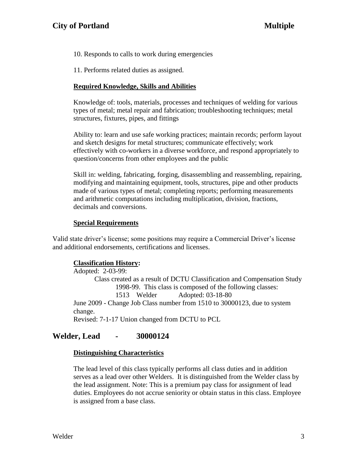- 10. Responds to calls to work during emergencies
- 11. Performs related duties as assigned.

#### **Required Knowledge, Skills and Abilities**

Knowledge of: tools, materials, processes and techniques of welding for various types of metal; metal repair and fabrication; troubleshooting techniques; metal structures, fixtures, pipes, and fittings

Ability to: learn and use safe working practices; maintain records; perform layout and sketch designs for metal structures; communicate effectively; work effectively with co-workers in a diverse workforce, and respond appropriately to question/concerns from other employees and the public

Skill in: welding, fabricating, forging, disassembling and reassembling, repairing, modifying and maintaining equipment, tools, structures, pipe and other products made of various types of metal; completing reports; performing measurements and arithmetic computations including multiplication, division, fractions, decimals and conversions.

#### **Special Requirements**

Valid state driver's license; some positions may require a Commercial Driver's license and additional endorsements, certifications and licenses.

#### **Classification History:**

Adopted: 2-03-99: Class created as a result of DCTU Classification and Compensation Study 1998-99. This class is composed of the following classes: 1513 Welder Adopted: 03-18-80 June 2009 - Change Job Class number from 1510 to 30000123, due to system change. Revised: 7-1-17 Union changed from DCTU to PCL

## **Welder, Lead - 30000124**

#### **Distinguishing Characteristics**

The lead level of this class typically performs all class duties and in addition serves as a lead over other Welders. It is distinguished from the Welder class by the lead assignment. Note: This is a premium pay class for assignment of lead duties. Employees do not accrue seniority or obtain status in this class. Employee is assigned from a base class.